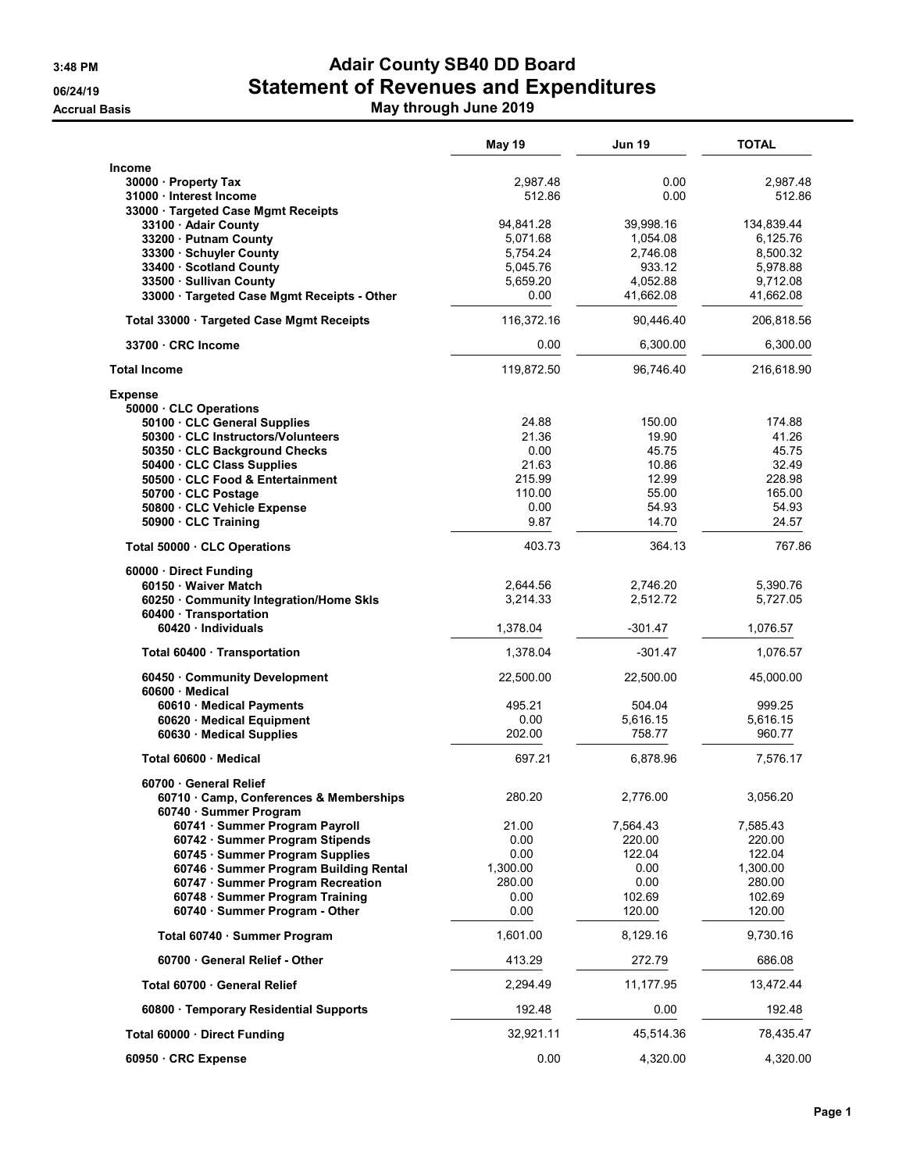## 3:48 PM **Adair County SB40 DD Board** 06/24/19 **Statement of Revenues and Expenditures** Accrual Basis **May through June 2019 May through June 2019**

|                                                                   | May 19               | <b>Jun 19</b>        | TOTAL                  |
|-------------------------------------------------------------------|----------------------|----------------------|------------------------|
| Income                                                            |                      |                      |                        |
| 30000 Property Tax                                                | 2,987.48             | 0.00                 | 2,987.48               |
| 31000 · Interest Income                                           | 512.86               | 0.00                 | 512.86                 |
| 33000 · Targeted Case Mgmt Receipts                               |                      |                      |                        |
| 33100 Adair County                                                | 94,841.28            | 39,998.16            | 134,839.44<br>6,125.76 |
| 33200 · Putnam County<br>33300 · Schuyler County                  | 5,071.68<br>5,754.24 | 1,054.08<br>2,746.08 | 8,500.32               |
| 33400 · Scotland County                                           | 5,045.76             | 933.12               | 5,978.88               |
| 33500 · Sullivan County                                           | 5,659.20             | 4,052.88             | 9,712.08               |
| 33000 · Targeted Case Mgmt Receipts - Other                       | 0.00                 | 41,662.08            | 41,662.08              |
| Total 33000 Targeted Case Mgmt Receipts                           | 116,372.16           | 90,446.40            | 206,818.56             |
| 33700 CRC Income                                                  | 0.00                 | 6,300.00             | 6,300.00               |
| <b>Total Income</b>                                               | 119,872.50           | 96,746.40            | 216,618.90             |
| <b>Expense</b>                                                    |                      |                      |                        |
| 50000 CLC Operations                                              |                      |                      |                        |
| 50100 · CLC General Supplies                                      | 24.88                | 150.00               | 174.88                 |
| 50300 · CLC Instructors/Volunteers                                | 21.36                | 19.90                | 41.26                  |
| 50350 CLC Background Checks                                       | 0.00                 | 45.75                | 45.75                  |
| 50400 · CLC Class Supplies                                        | 21.63                | 10.86                | 32.49                  |
| 50500 · CLC Food & Entertainment                                  | 215.99               | 12.99                | 228.98                 |
| 50700 · CLC Postage                                               | 110.00               | 55.00                | 165.00                 |
| 50800 · CLC Vehicle Expense                                       | 0.00                 | 54.93                | 54.93                  |
| 50900 · CLC Training                                              | 9.87                 | 14.70                | 24.57                  |
| Total 50000 · CLC Operations                                      | 403.73               | 364.13               | 767.86                 |
| 60000 Direct Funding                                              |                      |                      |                        |
| 60150 · Waiver Match                                              | 2,644.56             | 2,746.20             | 5,390.76               |
| 60250 Community Integration/Home Skls                             | 3,214.33             | 2,512.72             | 5,727.05               |
| 60400 · Transportation<br>60420 · Individuals                     | 1,378.04             | $-301.47$            | 1,076.57               |
| Total 60400 · Transportation                                      | 1,378.04             | $-301.47$            | 1,076.57               |
| 60450 Community Development                                       | 22,500.00            | 22,500.00            | 45,000.00              |
| 60600 Medical                                                     |                      |                      |                        |
| 60610 Medical Payments<br>60620 · Medical Equipment               | 495.21<br>0.00       | 504.04               | 999.25<br>5,616.15     |
| 60630 Medical Supplies                                            | 202.00               | 5,616.15<br>758.77   | 960.77                 |
| Total 60600 Medical                                               | 697.21               | 6,878.96             | 7,576.17               |
| 60700 General Relief                                              |                      |                      |                        |
| 60710 · Camp, Conferences & Memberships<br>60740 · Summer Program | 280.20               | 2,776.00             | 3,056.20               |
| 60741 · Summer Program Payroll                                    | 21.00                | 7,564.43             | 7,585.43               |
| 60742 · Summer Program Stipends                                   | 0.00                 | 220.00               | 220.00                 |
| 60745 · Summer Program Supplies                                   | 0.00                 | 122.04               | 122.04                 |
| 60746 · Summer Program Building Rental                            | 1,300.00             | 0.00                 | 1,300.00               |
| 60747 · Summer Program Recreation                                 | 280.00               | 0.00                 | 280.00                 |
| 60748 · Summer Program Training                                   | 0.00                 | 102.69               | 102.69                 |
| 60740 · Summer Program - Other                                    | 0.00                 | 120.00               | 120.00                 |
| Total 60740 · Summer Program                                      | 1,601.00             | 8,129.16             | 9,730.16               |
| 60700 General Relief - Other                                      | 413.29               | 272.79               | 686.08                 |
| Total 60700 General Relief                                        | 2,294.49             | 11,177.95            | 13,472.44              |
| 60800 · Temporary Residential Supports                            | 192.48               | 0.00                 | 192.48                 |
| Total 60000 · Direct Funding                                      | 32,921.11            | 45,514.36            | 78,435.47              |
| 60950 · CRC Expense                                               | 0.00                 | 4,320.00             | 4,320.00               |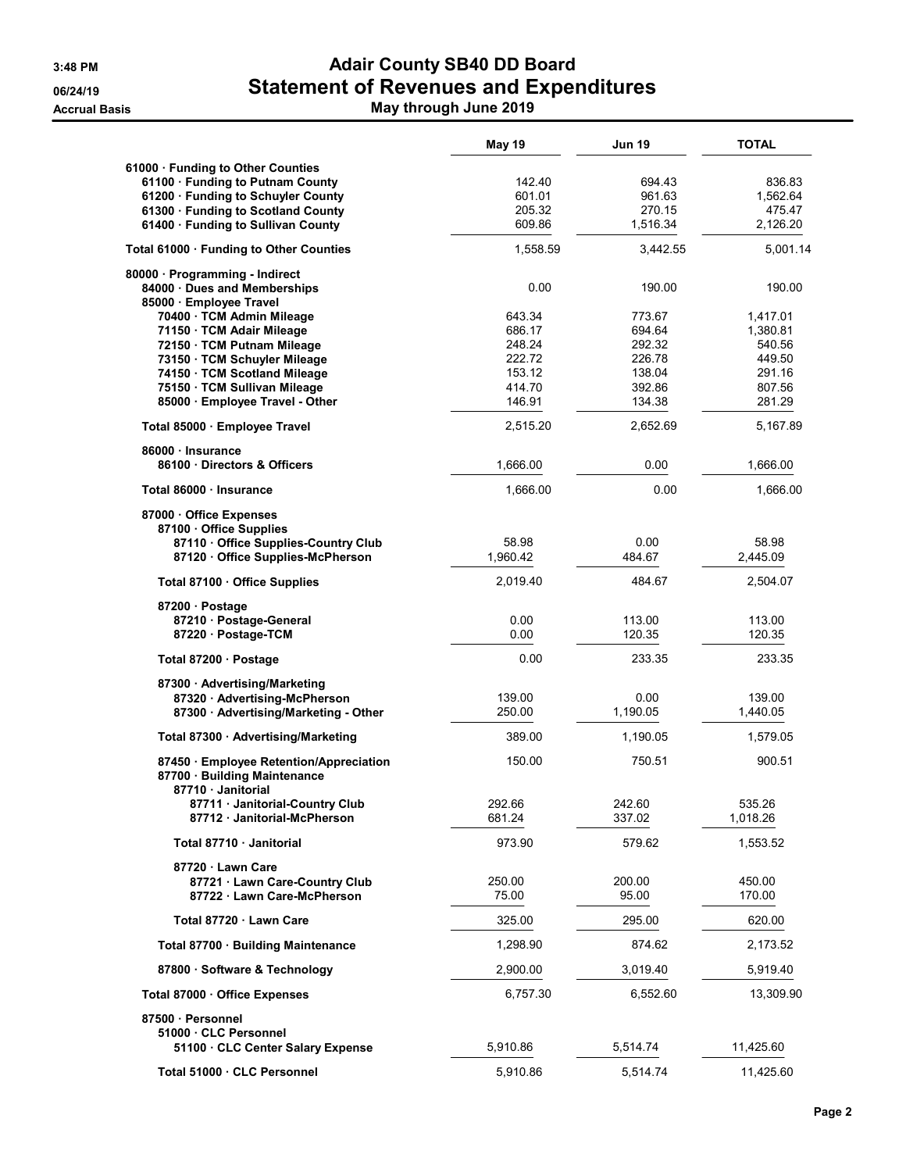## 3:48 PM **Adair County SB40 DD Board** 06/24/19 **Statement of Revenues and Expenditures** Accrual Basis **May through June 2019 May through June 2019**

|                                                                 | May 19           | <b>Jun 19</b>    | <b>TOTAL</b>       |
|-----------------------------------------------------------------|------------------|------------------|--------------------|
| 61000 Funding to Other Counties                                 |                  |                  |                    |
| 61100 · Funding to Putnam County                                | 142.40           | 694.43           | 836.83             |
| 61200 · Funding to Schuyler County                              | 601.01           | 961.63           | 1,562.64           |
| 61300 · Funding to Scotland County                              | 205.32           | 270.15           | 475.47             |
| 61400 Funding to Sullivan County                                | 609.86           | 1,516.34         | 2,126.20           |
| Total 61000 · Funding to Other Counties                         | 1,558.59         | 3,442.55         | 5,001.14           |
| 80000 · Programming - Indirect                                  |                  |                  |                    |
| 84000 Dues and Memberships                                      | 0.00             | 190.00           | 190.00             |
| 85000 · Employee Travel                                         |                  |                  |                    |
| 70400 · TCM Admin Mileage                                       | 643.34           | 773.67           | 1,417.01           |
| 71150 · TCM Adair Mileage                                       | 686.17           | 694.64           | 1,380.81           |
| 72150 · TCM Putnam Mileage                                      | 248.24           | 292.32           | 540.56             |
| 73150 · TCM Schuyler Mileage                                    | 222.72           | 226.78           | 449.50             |
| 74150 · TCM Scotland Mileage                                    | 153.12<br>414.70 | 138.04<br>392.86 | 291.16<br>807.56   |
| 75150 · TCM Sullivan Mileage<br>85000 · Employee Travel - Other | 146.91           | 134.38           | 281.29             |
| Total 85000 · Employee Travel                                   | 2,515.20         | 2,652.69         | 5,167.89           |
| 86000 · Insurance                                               |                  |                  |                    |
| 86100 Directors & Officers                                      | 1,666.00         | 0.00             | 1,666.00           |
| Total 86000 · Insurance                                         | 1,666.00         | 0.00             | 1,666.00           |
| 87000 Office Expenses                                           |                  |                  |                    |
| 87100 Office Supplies                                           |                  |                  |                    |
| 87110 Office Supplies-Country Club                              | 58.98            | 0.00             | 58.98              |
| 87120 Office Supplies-McPherson                                 | 1.960.42         | 484.67           | 2,445.09           |
| Total 87100 · Office Supplies                                   | 2,019.40         | 484.67           | 2,504.07           |
| 87200 · Postage                                                 |                  |                  |                    |
| 87210 · Postage-General                                         | 0.00             | 113.00           | 113.00             |
| 87220 · Postage-TCM                                             | 0.00             | 120.35           | 120.35             |
| Total 87200 · Postage                                           | 0.00             | 233.35           | 233.35             |
| 87300 Advertising/Marketing                                     |                  |                  |                    |
| 87320 · Advertising-McPherson                                   | 139.00           | 0.00             | 139.00             |
| 87300 · Advertising/Marketing - Other                           | 250.00           | 1,190.05         | 1,440.05           |
| Total 87300 · Advertising/Marketing                             | 389.00           | 1,190.05         | 1,579.05           |
| 87450 Employee Retention/Appreciation                           | 150.00           | 750.51           | 900.51             |
| 87700 · Building Maintenance                                    |                  |                  |                    |
| 87710 Janitorial                                                |                  |                  |                    |
| 87711 Janitorial-Country Club                                   | 292.66<br>681.24 | 242.60<br>337.02 | 535.26<br>1,018.26 |
| 87712 Janitorial-McPherson                                      |                  |                  |                    |
| Total 87710 · Janitorial                                        | 973.90           | 579.62           | 1,553.52           |
| 87720 · Lawn Care                                               |                  |                  |                    |
| 87721 · Lawn Care-Country Club                                  | 250.00           | 200.00           | 450.00             |
| 87722 Lawn Care-McPherson                                       | 75.00            | 95.00            | 170.00             |
| Total 87720 · Lawn Care                                         | 325.00           | 295.00           | 620.00             |
| Total 87700 · Building Maintenance                              | 1,298.90         | 874.62           | 2,173.52           |
| 87800 Software & Technology                                     | 2,900.00         | 3,019.40         | 5,919.40           |
| Total 87000 Office Expenses                                     | 6,757.30         | 6,552.60         | 13,309.90          |
| 87500 · Personnel                                               |                  |                  |                    |
| 51000 CLC Personnel                                             |                  |                  |                    |
| 51100 CLC Center Salary Expense                                 | 5,910.86         | 5,514.74         | 11,425.60          |
| Total 51000 · CLC Personnel                                     | 5,910.86         | 5,514.74         | 11,425.60          |